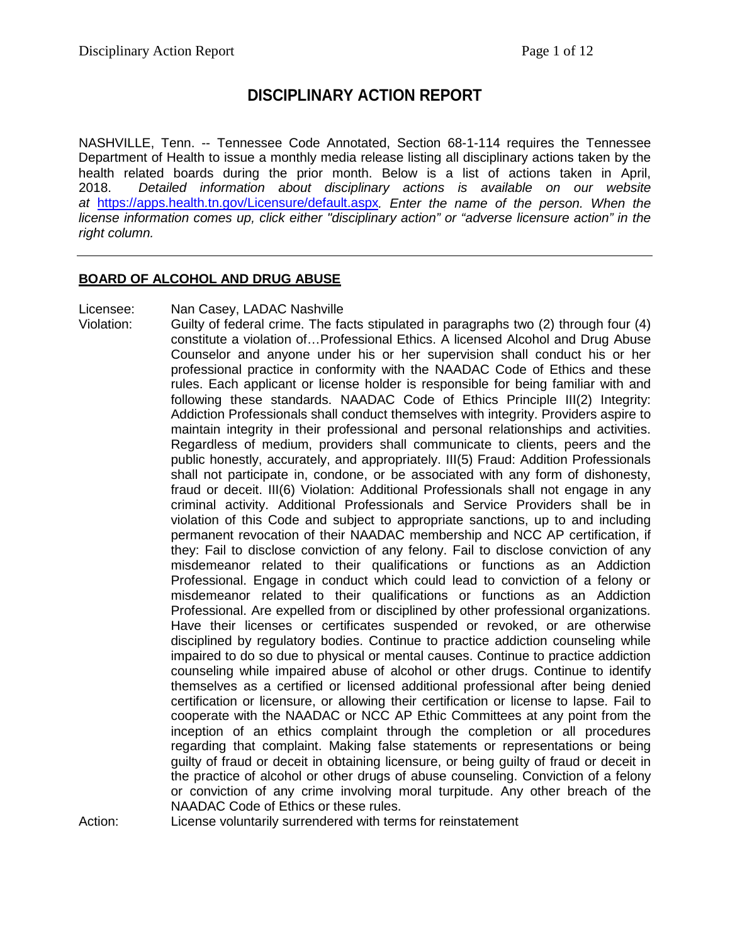# **DISCIPLINARY ACTION REPORT**

NASHVILLE, Tenn. -- Tennessee Code Annotated, Section 68-1-114 requires the Tennessee Department of Health to issue a monthly media release listing all disciplinary actions taken by the health related boards during the prior month. Below is a list of actions taken in April, 2018. *Detailed information about disciplinary actions is available on our website at* <https://apps.health.tn.gov/Licensure/default.aspx>*. Enter the name of the person. When the license information comes up, click either "disciplinary action" or "adverse licensure action" in the right column.*

#### **BOARD OF ALCOHOL AND DRUG ABUSE**

Licensee: Nan Casey, LADAC Nashville

Violation: Guilty of federal crime. The facts stipulated in paragraphs two (2) through four (4) constitute a violation of…Professional Ethics. A licensed Alcohol and Drug Abuse Counselor and anyone under his or her supervision shall conduct his or her professional practice in conformity with the NAADAC Code of Ethics and these rules. Each applicant or license holder is responsible for being familiar with and following these standards. NAADAC Code of Ethics Principle III(2) Integrity: Addiction Professionals shall conduct themselves with integrity. Providers aspire to maintain integrity in their professional and personal relationships and activities. Regardless of medium, providers shall communicate to clients, peers and the public honestly, accurately, and appropriately. III(5) Fraud: Addition Professionals shall not participate in, condone, or be associated with any form of dishonesty, fraud or deceit. III(6) Violation: Additional Professionals shall not engage in any criminal activity. Additional Professionals and Service Providers shall be in violation of this Code and subject to appropriate sanctions, up to and including permanent revocation of their NAADAC membership and NCC AP certification, if they: Fail to disclose conviction of any felony. Fail to disclose conviction of any misdemeanor related to their qualifications or functions as an Addiction Professional. Engage in conduct which could lead to conviction of a felony or misdemeanor related to their qualifications or functions as an Addiction Professional. Are expelled from or disciplined by other professional organizations. Have their licenses or certificates suspended or revoked, or are otherwise disciplined by regulatory bodies. Continue to practice addiction counseling while impaired to do so due to physical or mental causes. Continue to practice addiction counseling while impaired abuse of alcohol or other drugs. Continue to identify themselves as a certified or licensed additional professional after being denied certification or licensure, or allowing their certification or license to lapse. Fail to cooperate with the NAADAC or NCC AP Ethic Committees at any point from the inception of an ethics complaint through the completion or all procedures regarding that complaint. Making false statements or representations or being guilty of fraud or deceit in obtaining licensure, or being guilty of fraud or deceit in the practice of alcohol or other drugs of abuse counseling. Conviction of a felony or conviction of any crime involving moral turpitude. Any other breach of the NAADAC Code of Ethics or these rules.

Action: License voluntarily surrendered with terms for reinstatement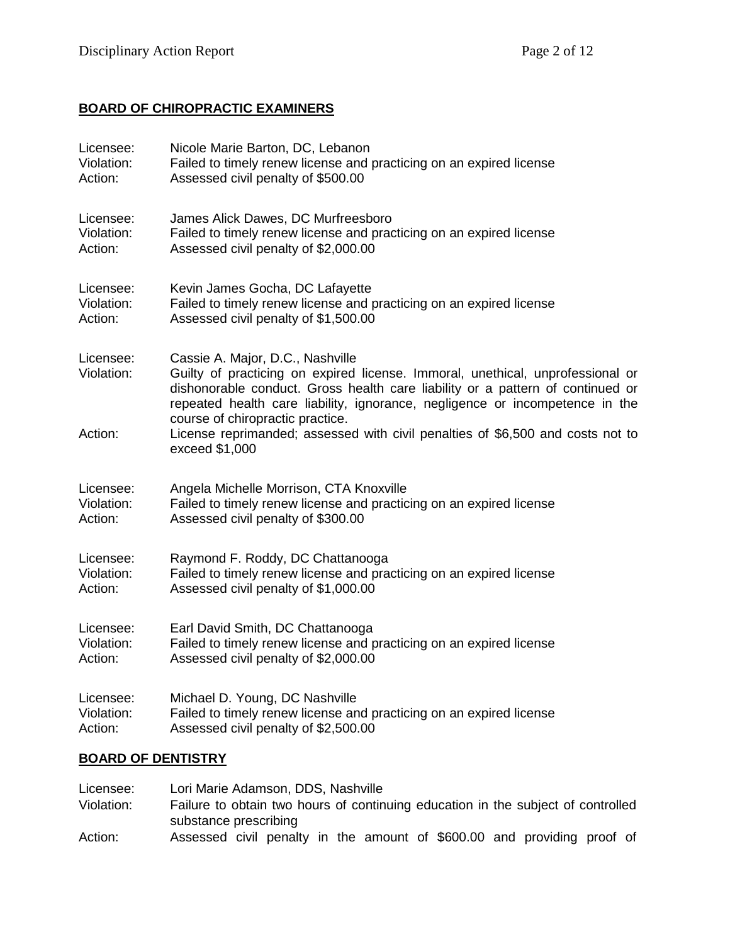# **BOARD OF CHIROPRACTIC EXAMINERS**

| Licensee:                 | Nicole Marie Barton, DC, Lebanon                                                                                                                                                                                                                                                     |  |
|---------------------------|--------------------------------------------------------------------------------------------------------------------------------------------------------------------------------------------------------------------------------------------------------------------------------------|--|
| Violation:                | Failed to timely renew license and practicing on an expired license                                                                                                                                                                                                                  |  |
| Action:                   | Assessed civil penalty of \$500.00                                                                                                                                                                                                                                                   |  |
| Licensee:                 | James Alick Dawes, DC Murfreesboro                                                                                                                                                                                                                                                   |  |
| Violation:                | Failed to timely renew license and practicing on an expired license                                                                                                                                                                                                                  |  |
| Action:                   | Assessed civil penalty of \$2,000.00                                                                                                                                                                                                                                                 |  |
| Licensee:                 | Kevin James Gocha, DC Lafayette                                                                                                                                                                                                                                                      |  |
| Violation:                | Failed to timely renew license and practicing on an expired license                                                                                                                                                                                                                  |  |
| Action:                   | Assessed civil penalty of \$1,500.00                                                                                                                                                                                                                                                 |  |
| Licensee:<br>Violation:   | Cassie A. Major, D.C., Nashville<br>Guilty of practicing on expired license. Immoral, unethical, unprofessional or<br>dishonorable conduct. Gross health care liability or a pattern of continued or<br>repeated health care liability, ignorance, negligence or incompetence in the |  |
| Action:                   | course of chiropractic practice.<br>License reprimanded; assessed with civil penalties of \$6,500 and costs not to<br>exceed \$1,000                                                                                                                                                 |  |
| Licensee:                 | Angela Michelle Morrison, CTA Knoxville                                                                                                                                                                                                                                              |  |
| Violation:                | Failed to timely renew license and practicing on an expired license                                                                                                                                                                                                                  |  |
| Action:                   | Assessed civil penalty of \$300.00                                                                                                                                                                                                                                                   |  |
| Licensee:                 | Raymond F. Roddy, DC Chattanooga                                                                                                                                                                                                                                                     |  |
| Violation:                | Failed to timely renew license and practicing on an expired license                                                                                                                                                                                                                  |  |
| Action:                   | Assessed civil penalty of \$1,000.00                                                                                                                                                                                                                                                 |  |
| Licensee:                 | Earl David Smith, DC Chattanooga                                                                                                                                                                                                                                                     |  |
| Violation:                | Failed to timely renew license and practicing on an expired license                                                                                                                                                                                                                  |  |
| Action:                   | Assessed civil penalty of \$2,000.00                                                                                                                                                                                                                                                 |  |
| Licensee:                 | Michael D. Young, DC Nashville                                                                                                                                                                                                                                                       |  |
| Violation:                | Failed to timely renew license and practicing on an expired license                                                                                                                                                                                                                  |  |
| Action:                   | Assessed civil penalty of \$2,500.00                                                                                                                                                                                                                                                 |  |
| <b>BOARD OF DENTISTRY</b> |                                                                                                                                                                                                                                                                                      |  |

# Licensee: Lori Marie Adamson, DDS, Nashville<br>Violation: Failure to obtain two hours of contin Failure to obtain two hours of continuing education in the subject of controlled substance prescribing Action: Assessed civil penalty in the amount of \$600.00 and providing proof of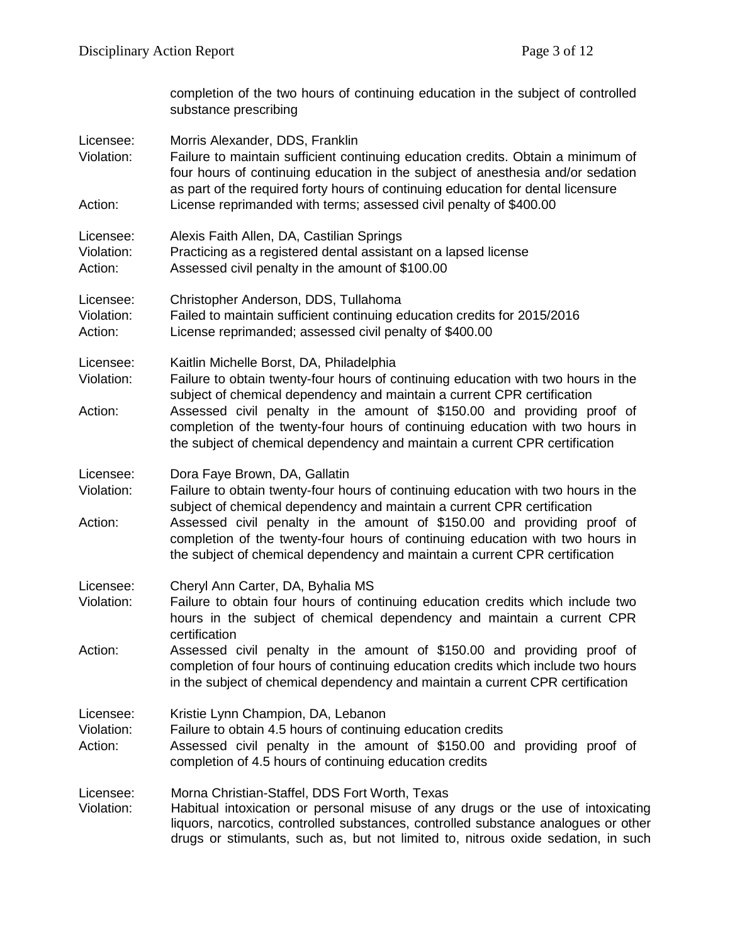|                                    | completion of the two hours of continuing education in the subject of controlled<br>substance prescribing                                                                                                                                                                                                     |  |
|------------------------------------|---------------------------------------------------------------------------------------------------------------------------------------------------------------------------------------------------------------------------------------------------------------------------------------------------------------|--|
| Licensee:<br>Violation:            | Morris Alexander, DDS, Franklin<br>Failure to maintain sufficient continuing education credits. Obtain a minimum of<br>four hours of continuing education in the subject of anesthesia and/or sedation<br>as part of the required forty hours of continuing education for dental licensure                    |  |
| Action:                            | License reprimanded with terms; assessed civil penalty of \$400.00                                                                                                                                                                                                                                            |  |
| Licensee:<br>Violation:<br>Action: | Alexis Faith Allen, DA, Castilian Springs<br>Practicing as a registered dental assistant on a lapsed license<br>Assessed civil penalty in the amount of \$100.00                                                                                                                                              |  |
| Licensee:<br>Violation:<br>Action: | Christopher Anderson, DDS, Tullahoma<br>Failed to maintain sufficient continuing education credits for 2015/2016<br>License reprimanded; assessed civil penalty of \$400.00                                                                                                                                   |  |
| Licensee:<br>Violation:            | Kaitlin Michelle Borst, DA, Philadelphia<br>Failure to obtain twenty-four hours of continuing education with two hours in the<br>subject of chemical dependency and maintain a current CPR certification                                                                                                      |  |
| Action:                            | Assessed civil penalty in the amount of \$150.00 and providing proof of<br>completion of the twenty-four hours of continuing education with two hours in<br>the subject of chemical dependency and maintain a current CPR certification                                                                       |  |
| Licensee:<br>Violation:            | Dora Faye Brown, DA, Gallatin<br>Failure to obtain twenty-four hours of continuing education with two hours in the<br>subject of chemical dependency and maintain a current CPR certification                                                                                                                 |  |
| Action:                            | Assessed civil penalty in the amount of \$150.00 and providing proof of<br>completion of the twenty-four hours of continuing education with two hours in<br>the subject of chemical dependency and maintain a current CPR certification                                                                       |  |
| Licensee:<br>Violation:            | Cheryl Ann Carter, DA, Byhalia MS<br>Failure to obtain four hours of continuing education credits which include two<br>hours in the subject of chemical dependency and maintain a current CPR<br>certification                                                                                                |  |
| Action:                            | Assessed civil penalty in the amount of \$150.00 and providing proof of<br>completion of four hours of continuing education credits which include two hours<br>in the subject of chemical dependency and maintain a current CPR certification                                                                 |  |
| Licensee:<br>Violation:<br>Action: | Kristie Lynn Champion, DA, Lebanon<br>Failure to obtain 4.5 hours of continuing education credits<br>Assessed civil penalty in the amount of \$150.00 and providing proof of<br>completion of 4.5 hours of continuing education credits                                                                       |  |
| Licensee:<br>Violation:            | Morna Christian-Staffel, DDS Fort Worth, Texas<br>Habitual intoxication or personal misuse of any drugs or the use of intoxicating<br>liquors, narcotics, controlled substances, controlled substance analogues or other<br>drugs or stimulants, such as, but not limited to, nitrous oxide sedation, in such |  |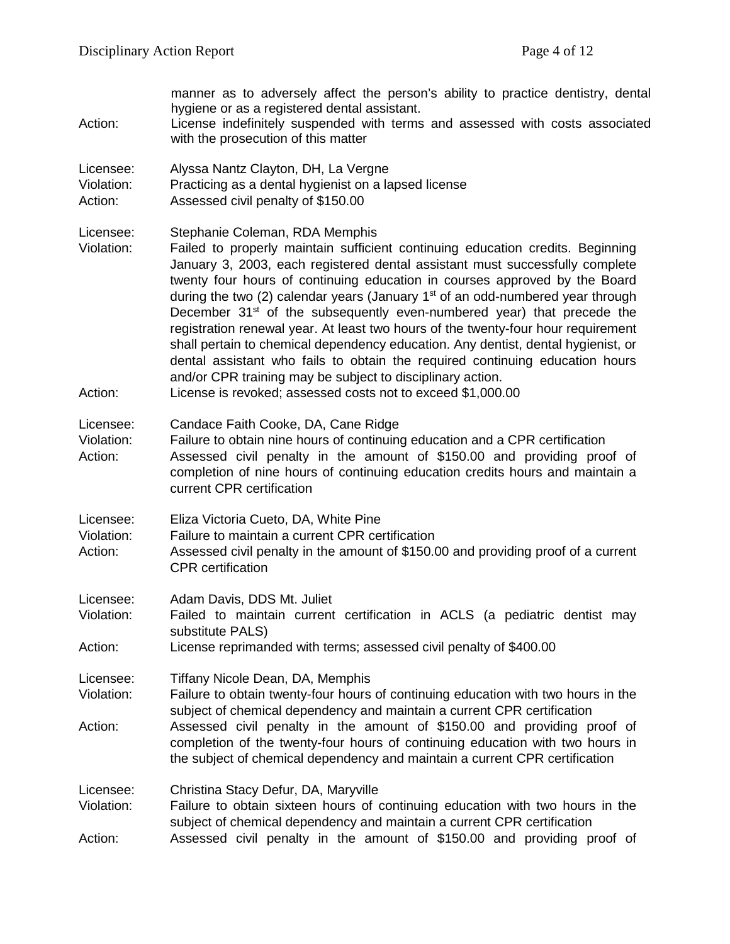| Action:                            | manner as to adversely affect the person's ability to practice dentistry, dental<br>hygiene or as a registered dental assistant.<br>License indefinitely suspended with terms and assessed with costs associated<br>with the prosecution of this matter                                                                                                                                                                                                                                                                                                                                                                                                                                                                                                                                                                                                   |  |
|------------------------------------|-----------------------------------------------------------------------------------------------------------------------------------------------------------------------------------------------------------------------------------------------------------------------------------------------------------------------------------------------------------------------------------------------------------------------------------------------------------------------------------------------------------------------------------------------------------------------------------------------------------------------------------------------------------------------------------------------------------------------------------------------------------------------------------------------------------------------------------------------------------|--|
| Licensee:<br>Violation:<br>Action: | Alyssa Nantz Clayton, DH, La Vergne<br>Practicing as a dental hygienist on a lapsed license<br>Assessed civil penalty of \$150.00                                                                                                                                                                                                                                                                                                                                                                                                                                                                                                                                                                                                                                                                                                                         |  |
| Licensee:<br>Violation:<br>Action: | Stephanie Coleman, RDA Memphis<br>Failed to properly maintain sufficient continuing education credits. Beginning<br>January 3, 2003, each registered dental assistant must successfully complete<br>twenty four hours of continuing education in courses approved by the Board<br>during the two (2) calendar years (January 1 <sup>st</sup> of an odd-numbered year through<br>December 31 <sup>st</sup> of the subsequently even-numbered year) that precede the<br>registration renewal year. At least two hours of the twenty-four hour requirement<br>shall pertain to chemical dependency education. Any dentist, dental hygienist, or<br>dental assistant who fails to obtain the required continuing education hours<br>and/or CPR training may be subject to disciplinary action.<br>License is revoked; assessed costs not to exceed \$1,000.00 |  |
| Licensee:<br>Violation:<br>Action: | Candace Faith Cooke, DA, Cane Ridge<br>Failure to obtain nine hours of continuing education and a CPR certification<br>Assessed civil penalty in the amount of \$150.00 and providing proof of<br>completion of nine hours of continuing education credits hours and maintain a<br>current CPR certification                                                                                                                                                                                                                                                                                                                                                                                                                                                                                                                                              |  |
| Licensee:<br>Violation:<br>Action: | Eliza Victoria Cueto, DA, White Pine<br>Failure to maintain a current CPR certification<br>Assessed civil penalty in the amount of \$150.00 and providing proof of a current<br><b>CPR</b> certification                                                                                                                                                                                                                                                                                                                                                                                                                                                                                                                                                                                                                                                  |  |
| Licensee:<br>Violation:<br>Action: | Adam Davis, DDS Mt. Juliet<br>Failed to maintain current certification in ACLS (a pediatric dentist may<br>substitute PALS)<br>License reprimanded with terms; assessed civil penalty of \$400.00                                                                                                                                                                                                                                                                                                                                                                                                                                                                                                                                                                                                                                                         |  |
| Licensee:<br>Violation:<br>Action: | Tiffany Nicole Dean, DA, Memphis<br>Failure to obtain twenty-four hours of continuing education with two hours in the<br>subject of chemical dependency and maintain a current CPR certification<br>Assessed civil penalty in the amount of \$150.00 and providing proof of<br>completion of the twenty-four hours of continuing education with two hours in<br>the subject of chemical dependency and maintain a current CPR certification                                                                                                                                                                                                                                                                                                                                                                                                               |  |
| Licensee:<br>Violation:<br>Action: | Christina Stacy Defur, DA, Maryville<br>Failure to obtain sixteen hours of continuing education with two hours in the<br>subject of chemical dependency and maintain a current CPR certification<br>Assessed civil penalty in the amount of \$150.00 and providing proof of                                                                                                                                                                                                                                                                                                                                                                                                                                                                                                                                                                               |  |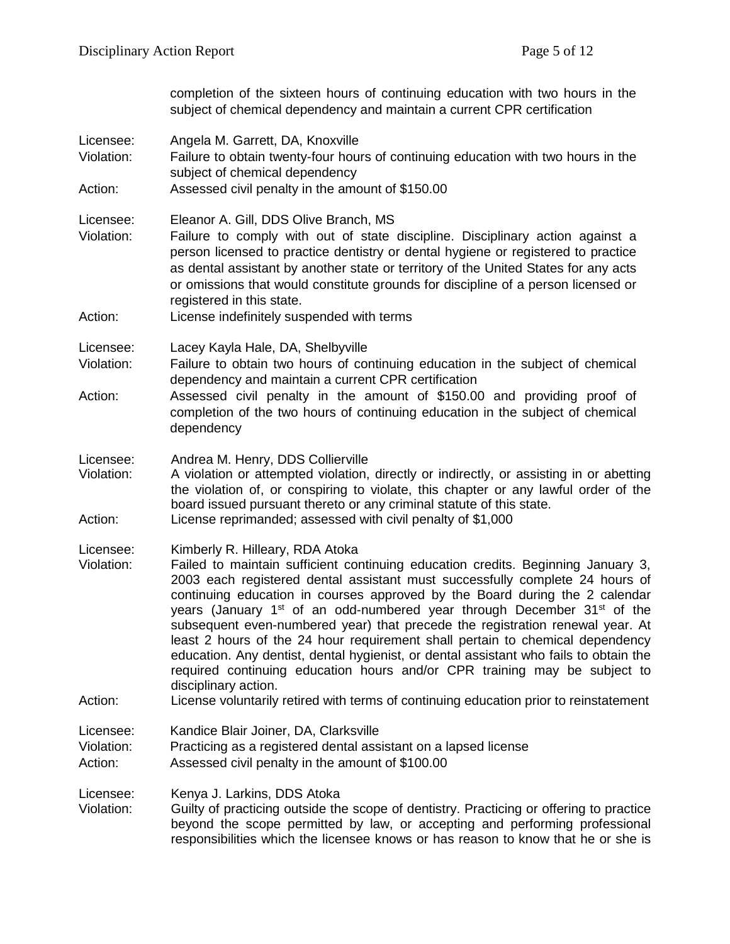completion of the sixteen hours of continuing education with two hours in the subject of chemical dependency and maintain a current CPR certification

- Licensee: Angela M. Garrett, DA, Knoxville
- Violation: Failure to obtain twenty-four hours of continuing education with two hours in the subject of chemical dependency
- Action: Assessed civil penalty in the amount of \$150.00

Licensee: Eleanor A. Gill, DDS Olive Branch, MS

- Violation: Failure to comply with out of state discipline. Disciplinary action against a person licensed to practice dentistry or dental hygiene or registered to practice as dental assistant by another state or territory of the United States for any acts or omissions that would constitute grounds for discipline of a person licensed or registered in this state.
- Action: License indefinitely suspended with terms

Licensee: Lacey Kayla Hale, DA, Shelbyville

- Violation: Failure to obtain two hours of continuing education in the subject of chemical dependency and maintain a current CPR certification
- Action: Assessed civil penalty in the amount of \$150.00 and providing proof of completion of the two hours of continuing education in the subject of chemical dependency
- Licensee: Andrea M. Henry, DDS Collierville
- Violation: A violation or attempted violation, directly or indirectly, or assisting in or abetting the violation of, or conspiring to violate, this chapter or any lawful order of the board issued pursuant thereto or any criminal statute of this state. Action: License reprimanded; assessed with civil penalty of \$1,000

Licensee: Kimberly R. Hilleary, RDA Atoka

- Violation: Failed to maintain sufficient continuing education credits. Beginning January 3, 2003 each registered dental assistant must successfully complete 24 hours of continuing education in courses approved by the Board during the 2 calendar years (January  $1<sup>st</sup>$  of an odd-numbered year through December  $31<sup>st</sup>$  of the subsequent even-numbered year) that precede the registration renewal year. At least 2 hours of the 24 hour requirement shall pertain to chemical dependency education. Any dentist, dental hygienist, or dental assistant who fails to obtain the required continuing education hours and/or CPR training may be subject to disciplinary action.
- Action: License voluntarily retired with terms of continuing education prior to reinstatement

Licensee: Kandice Blair Joiner, DA, Clarksville

- Violation: Practicing as a registered dental assistant on a lapsed license
- Action: Assessed civil penalty in the amount of \$100.00

Licensee: Kenya J. Larkins, DDS Atoka

Violation: Guilty of practicing outside the scope of dentistry. Practicing or offering to practice beyond the scope permitted by law, or accepting and performing professional responsibilities which the licensee knows or has reason to know that he or she is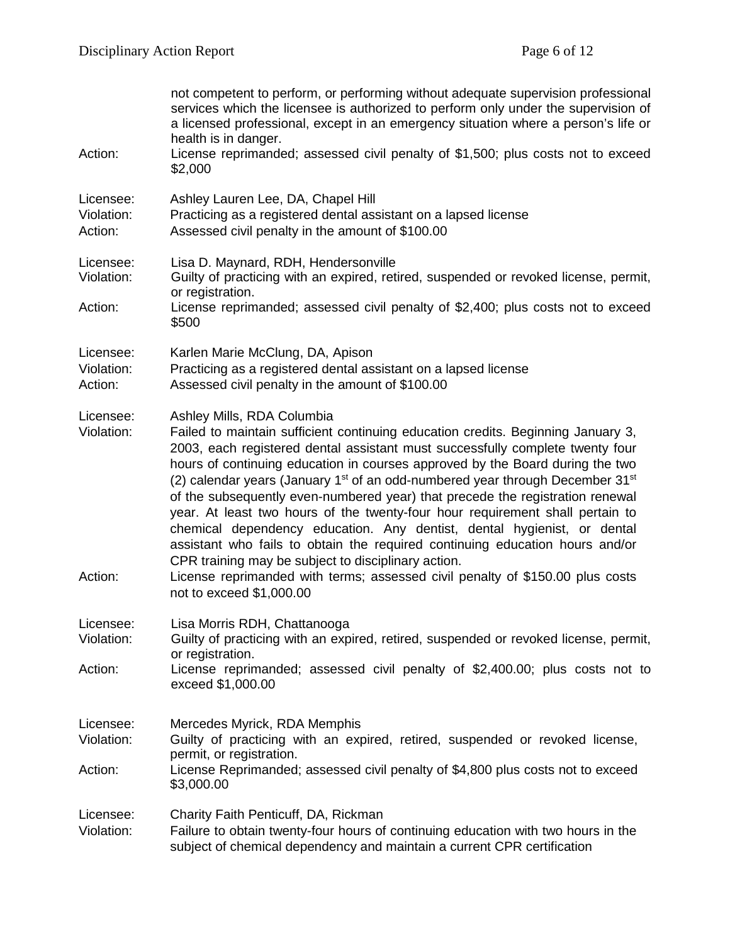| Action:                            | not competent to perform, or performing without adequate supervision professional<br>services which the licensee is authorized to perform only under the supervision of<br>a licensed professional, except in an emergency situation where a person's life or<br>health is in danger.<br>License reprimanded; assessed civil penalty of \$1,500; plus costs not to exceed<br>\$2,000                                                                                                                                                                                                                                                                                                                                                                                                                                                                           |  |
|------------------------------------|----------------------------------------------------------------------------------------------------------------------------------------------------------------------------------------------------------------------------------------------------------------------------------------------------------------------------------------------------------------------------------------------------------------------------------------------------------------------------------------------------------------------------------------------------------------------------------------------------------------------------------------------------------------------------------------------------------------------------------------------------------------------------------------------------------------------------------------------------------------|--|
| Licensee:<br>Violation:<br>Action: | Ashley Lauren Lee, DA, Chapel Hill<br>Practicing as a registered dental assistant on a lapsed license<br>Assessed civil penalty in the amount of \$100.00                                                                                                                                                                                                                                                                                                                                                                                                                                                                                                                                                                                                                                                                                                      |  |
| Licensee:<br>Violation:<br>Action: | Lisa D. Maynard, RDH, Hendersonville<br>Guilty of practicing with an expired, retired, suspended or revoked license, permit,<br>or registration.<br>License reprimanded; assessed civil penalty of \$2,400; plus costs not to exceed<br>\$500                                                                                                                                                                                                                                                                                                                                                                                                                                                                                                                                                                                                                  |  |
| Licensee:<br>Violation:<br>Action: | Karlen Marie McClung, DA, Apison<br>Practicing as a registered dental assistant on a lapsed license<br>Assessed civil penalty in the amount of \$100.00                                                                                                                                                                                                                                                                                                                                                                                                                                                                                                                                                                                                                                                                                                        |  |
| Licensee:<br>Violation:<br>Action: | Ashley Mills, RDA Columbia<br>Failed to maintain sufficient continuing education credits. Beginning January 3,<br>2003, each registered dental assistant must successfully complete twenty four<br>hours of continuing education in courses approved by the Board during the two<br>(2) calendar years (January 1 <sup>st</sup> of an odd-numbered year through December 31 <sup>st</sup><br>of the subsequently even-numbered year) that precede the registration renewal<br>year. At least two hours of the twenty-four hour requirement shall pertain to<br>chemical dependency education. Any dentist, dental hygienist, or dental<br>assistant who fails to obtain the required continuing education hours and/or<br>CPR training may be subject to disciplinary action.<br>License reprimanded with terms; assessed civil penalty of \$150.00 plus costs |  |
|                                    | not to exceed \$1,000.00                                                                                                                                                                                                                                                                                                                                                                                                                                                                                                                                                                                                                                                                                                                                                                                                                                       |  |
| Licensee:<br>Violation:            | Lisa Morris RDH, Chattanooga<br>Guilty of practicing with an expired, retired, suspended or revoked license, permit,<br>or registration.                                                                                                                                                                                                                                                                                                                                                                                                                                                                                                                                                                                                                                                                                                                       |  |
| Action:                            | License reprimanded; assessed civil penalty of \$2,400.00; plus costs not to<br>exceed \$1,000.00                                                                                                                                                                                                                                                                                                                                                                                                                                                                                                                                                                                                                                                                                                                                                              |  |
| Licensee:<br>Violation:<br>Action: | Mercedes Myrick, RDA Memphis<br>Guilty of practicing with an expired, retired, suspended or revoked license,<br>permit, or registration.<br>License Reprimanded; assessed civil penalty of \$4,800 plus costs not to exceed<br>\$3,000.00                                                                                                                                                                                                                                                                                                                                                                                                                                                                                                                                                                                                                      |  |
| Licensee:<br>Violation:            | Charity Faith Penticuff, DA, Rickman<br>Failure to obtain twenty-four hours of continuing education with two hours in the<br>subject of chemical dependency and maintain a current CPR certification                                                                                                                                                                                                                                                                                                                                                                                                                                                                                                                                                                                                                                                           |  |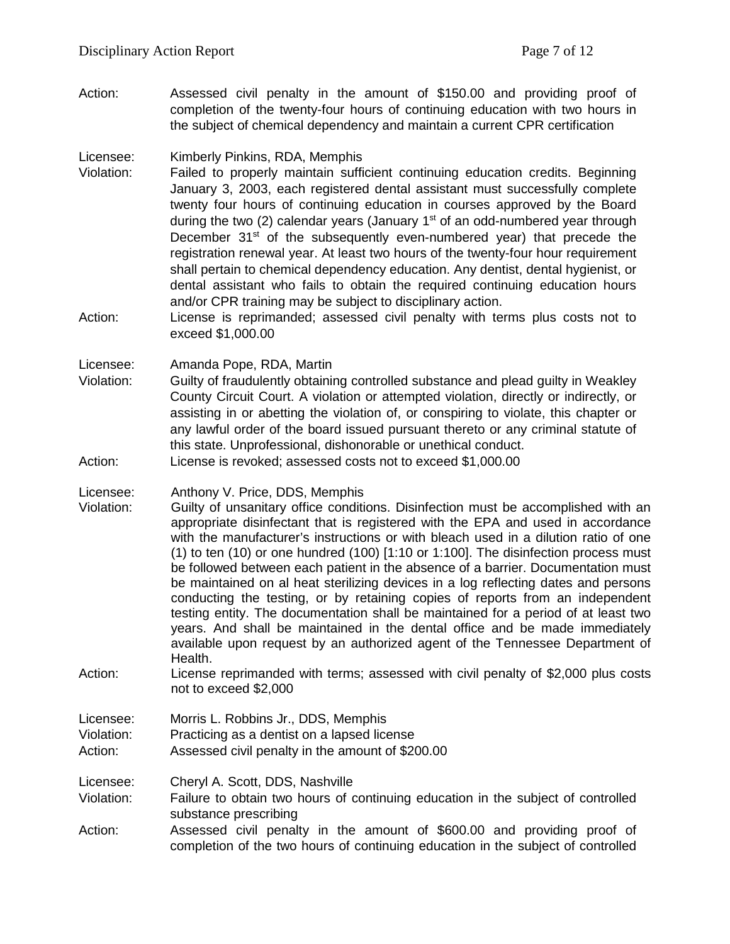Action: Assessed civil penalty in the amount of \$150.00 and providing proof of completion of the twenty-four hours of continuing education with two hours in the subject of chemical dependency and maintain a current CPR certification

#### Licensee: Kimberly Pinkins, RDA, Memphis

- Violation: Failed to properly maintain sufficient continuing education credits. Beginning January 3, 2003, each registered dental assistant must successfully complete twenty four hours of continuing education in courses approved by the Board during the two (2) calendar years (January 1<sup>st</sup> of an odd-numbered year through December  $31<sup>st</sup>$  of the subsequently even-numbered year) that precede the registration renewal year. At least two hours of the twenty-four hour requirement shall pertain to chemical dependency education. Any dentist, dental hygienist, or dental assistant who fails to obtain the required continuing education hours and/or CPR training may be subject to disciplinary action.
- Action: License is reprimanded; assessed civil penalty with terms plus costs not to exceed \$1,000.00

Licensee: Amanda Pope, RDA, Martin

Violation: Guilty of fraudulently obtaining controlled substance and plead guilty in Weakley County Circuit Court. A violation or attempted violation, directly or indirectly, or assisting in or abetting the violation of, or conspiring to violate, this chapter or any lawful order of the board issued pursuant thereto or any criminal statute of this state. Unprofessional, dishonorable or unethical conduct.

Action: License is revoked; assessed costs not to exceed \$1,000.00

Licensee: Anthony V. Price, DDS, Memphis<br>Violation: Guilty of unsanitary office condition

- Guilty of unsanitary office conditions. Disinfection must be accomplished with an appropriate disinfectant that is registered with the EPA and used in accordance with the manufacturer's instructions or with bleach used in a dilution ratio of one (1) to ten (10) or one hundred (100) [1:10 or 1:100]. The disinfection process must be followed between each patient in the absence of a barrier. Documentation must be maintained on al heat sterilizing devices in a log reflecting dates and persons conducting the testing, or by retaining copies of reports from an independent testing entity. The documentation shall be maintained for a period of at least two years. And shall be maintained in the dental office and be made immediately available upon request by an authorized agent of the Tennessee Department of Health.
- Action: License reprimanded with terms; assessed with civil penalty of \$2,000 plus costs not to exceed \$2,000

Licensee: Morris L. Robbins Jr., DDS, Memphis Violation: Practicing as a dentist on a lapsed license Action: Assessed civil penalty in the amount of \$200.00

Licensee: Cheryl A. Scott, DDS, Nashville

- Violation: Failure to obtain two hours of continuing education in the subject of controlled substance prescribing
- Action: Assessed civil penalty in the amount of \$600.00 and providing proof of completion of the two hours of continuing education in the subject of controlled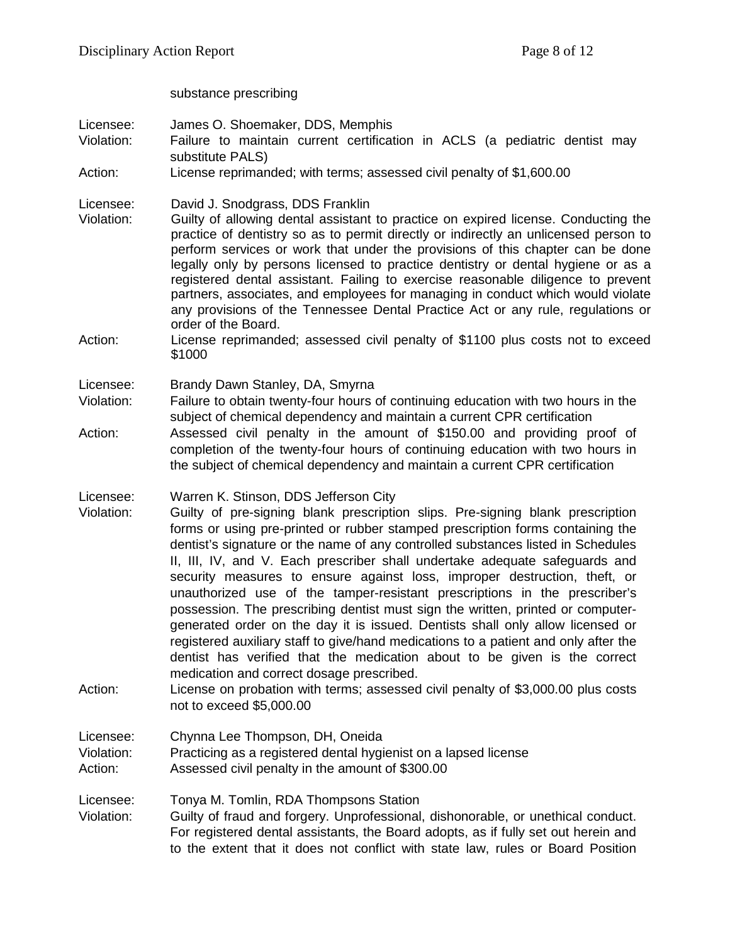substance prescribing

Licensee: James O. Shoemaker, DDS, Memphis

- Violation: Failure to maintain current certification in ACLS (a pediatric dentist may substitute PALS)
- Action: License reprimanded; with terms; assessed civil penalty of \$1,600.00

Licensee: David J. Snodgrass, DDS Franklin

- Violation: Guilty of allowing dental assistant to practice on expired license. Conducting the practice of dentistry so as to permit directly or indirectly an unlicensed person to perform services or work that under the provisions of this chapter can be done legally only by persons licensed to practice dentistry or dental hygiene or as a registered dental assistant. Failing to exercise reasonable diligence to prevent partners, associates, and employees for managing in conduct which would violate any provisions of the Tennessee Dental Practice Act or any rule, regulations or order of the Board.
- Action: License reprimanded; assessed civil penalty of \$1100 plus costs not to exceed \$1000

Licensee: Brandy Dawn Stanley, DA, Smyrna

Violation: Failure to obtain twenty-four hours of continuing education with two hours in the subject of chemical dependency and maintain a current CPR certification

Action: Assessed civil penalty in the amount of \$150.00 and providing proof of completion of the twenty-four hours of continuing education with two hours in the subject of chemical dependency and maintain a current CPR certification

Licensee: Warren K. Stinson, DDS Jefferson City

- Violation: Guilty of pre-signing blank prescription slips. Pre-signing blank prescription forms or using pre-printed or rubber stamped prescription forms containing the dentist's signature or the name of any controlled substances listed in Schedules II, III, IV, and V. Each prescriber shall undertake adequate safeguards and security measures to ensure against loss, improper destruction, theft, or unauthorized use of the tamper-resistant prescriptions in the prescriber's possession. The prescribing dentist must sign the written, printed or computergenerated order on the day it is issued. Dentists shall only allow licensed or registered auxiliary staff to give/hand medications to a patient and only after the dentist has verified that the medication about to be given is the correct medication and correct dosage prescribed.
- Action: License on probation with terms; assessed civil penalty of \$3,000.00 plus costs not to exceed \$5,000.00

Licensee: Chynna Lee Thompson, DH, Oneida

Violation: Practicing as a registered dental hygienist on a lapsed license

Action: Assessed civil penalty in the amount of \$300.00

Licensee: Tonya M. Tomlin, RDA Thompsons Station

Violation: Guilty of fraud and forgery. Unprofessional, dishonorable, or unethical conduct. For registered dental assistants, the Board adopts, as if fully set out herein and to the extent that it does not conflict with state law, rules or Board Position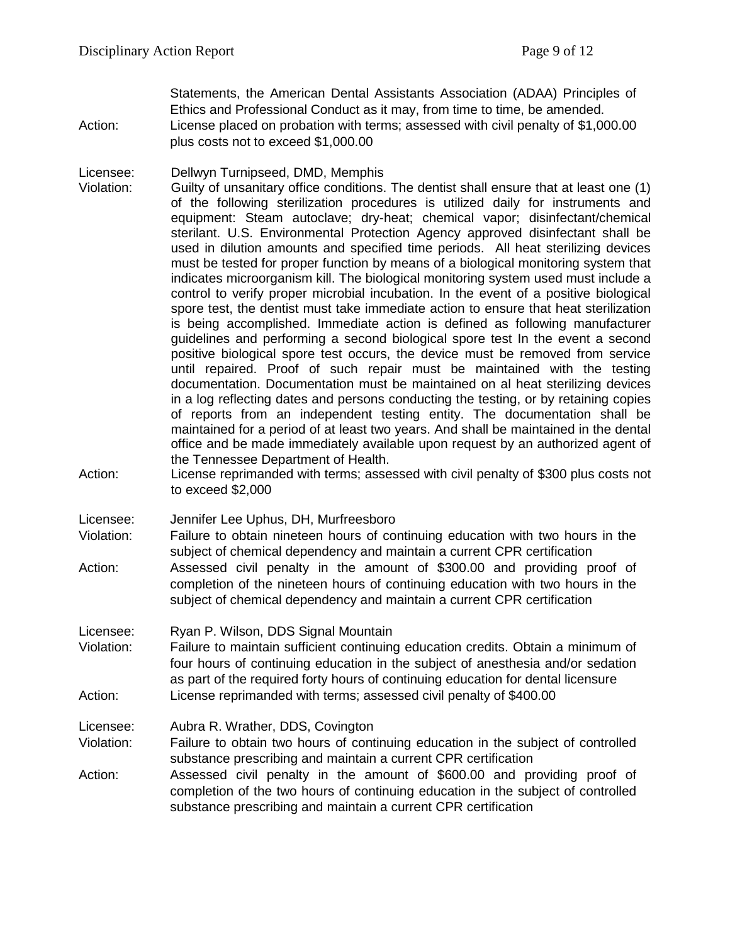Statements, the American Dental Assistants Association (ADAA) Principles of Ethics and Professional Conduct as it may, from time to time, be amended. Action: License placed on probation with terms; assessed with civil penalty of \$1,000.00 plus costs not to exceed \$1,000.00

Licensee: Dellwyn Turnipseed, DMD, Memphis

- Violation: Guilty of unsanitary office conditions. The dentist shall ensure that at least one (1) of the following sterilization procedures is utilized daily for instruments and equipment: Steam autoclave; dry-heat; chemical vapor; disinfectant/chemical sterilant. U.S. Environmental Protection Agency approved disinfectant shall be used in dilution amounts and specified time periods. All heat sterilizing devices must be tested for proper function by means of a biological monitoring system that indicates microorganism kill. The biological monitoring system used must include a control to verify proper microbial incubation. In the event of a positive biological spore test, the dentist must take immediate action to ensure that heat sterilization is being accomplished. Immediate action is defined as following manufacturer guidelines and performing a second biological spore test In the event a second positive biological spore test occurs, the device must be removed from service until repaired. Proof of such repair must be maintained with the testing documentation. Documentation must be maintained on al heat sterilizing devices in a log reflecting dates and persons conducting the testing, or by retaining copies of reports from an independent testing entity. The documentation shall be maintained for a period of at least two years. And shall be maintained in the dental office and be made immediately available upon request by an authorized agent of the Tennessee Department of Health.
- Action: License reprimanded with terms; assessed with civil penalty of \$300 plus costs not to exceed \$2,000

Licensee: Jennifer Lee Uphus, DH, Murfreesboro

Violation: Failure to obtain nineteen hours of continuing education with two hours in the subject of chemical dependency and maintain a current CPR certification Action: Assessed civil penalty in the amount of \$300.00 and providing proof of completion of the nineteen hours of continuing education with two hours in the subject of chemical dependency and maintain a current CPR certification

Licensee: Ryan P. Wilson, DDS Signal Mountain

Violation: Failure to maintain sufficient continuing education credits. Obtain a minimum of four hours of continuing education in the subject of anesthesia and/or sedation as part of the required forty hours of continuing education for dental licensure Action: License reprimanded with terms; assessed civil penalty of \$400.00

Licensee: Aubra R. Wrather, DDS, Covington

Violation: Failure to obtain two hours of continuing education in the subject of controlled substance prescribing and maintain a current CPR certification

Action: Assessed civil penalty in the amount of \$600.00 and providing proof of completion of the two hours of continuing education in the subject of controlled substance prescribing and maintain a current CPR certification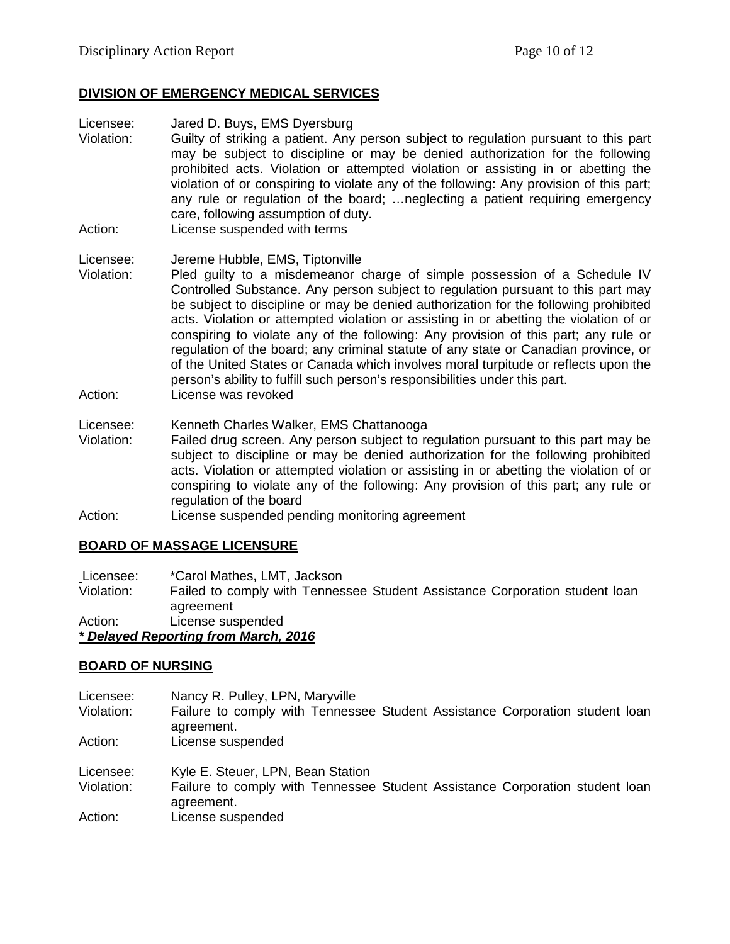# **DIVISION OF EMERGENCY MEDICAL SERVICES**

- Licensee: Jared D. Buys, EMS Dyersburg Violation: Guilty of striking a patient. Any person subject to regulation pursuant to this part may be subject to discipline or may be denied authorization for the following prohibited acts. Violation or attempted violation or assisting in or abetting the violation of or conspiring to violate any of the following: Any provision of this part; any rule or regulation of the board; …neglecting a patient requiring emergency care, following assumption of duty.
- Action: License suspended with terms

#### Licensee: Jereme Hubble, EMS, Tiptonville

- Violation: Pled guilty to a misdemeanor charge of simple possession of a Schedule IV Controlled Substance. Any person subject to regulation pursuant to this part may be subject to discipline or may be denied authorization for the following prohibited acts. Violation or attempted violation or assisting in or abetting the violation of or conspiring to violate any of the following: Any provision of this part; any rule or regulation of the board; any criminal statute of any state or Canadian province, or of the United States or Canada which involves moral turpitude or reflects upon the person's ability to fulfill such person's responsibilities under this part. Action: License was revoked
- 
- Licensee: Kenneth Charles Walker, EMS Chattanooga<br>Violation: Failed drug screen. Any person subiect to re Failed drug screen. Any person subject to regulation pursuant to this part may be subject to discipline or may be denied authorization for the following prohibited acts. Violation or attempted violation or assisting in or abetting the violation of or conspiring to violate any of the following: Any provision of this part; any rule or regulation of the board
- Action: License suspended pending monitoring agreement

# **BOARD OF MASSAGE LICENSURE**

Licensee: \*Carol Mathes, LMT, Jackson<br>Violation: Failed to comply with Tennes Failed to comply with Tennessee Student Assistance Corporation student loan agreement Action: License suspended *\* Delayed Reporting from March, 2016*

# **BOARD OF NURSING**

| Licensee:<br>Violation: | Nancy R. Pulley, LPN, Maryville<br>Failure to comply with Tennessee Student Assistance Corporation student loan<br>agreement.   |
|-------------------------|---------------------------------------------------------------------------------------------------------------------------------|
| Action:                 | License suspended                                                                                                               |
| Licensee:<br>Violation: | Kyle E. Steuer, LPN, Bean Station<br>Failure to comply with Tennessee Student Assistance Corporation student loan<br>agreement. |
| Action:                 | License suspended                                                                                                               |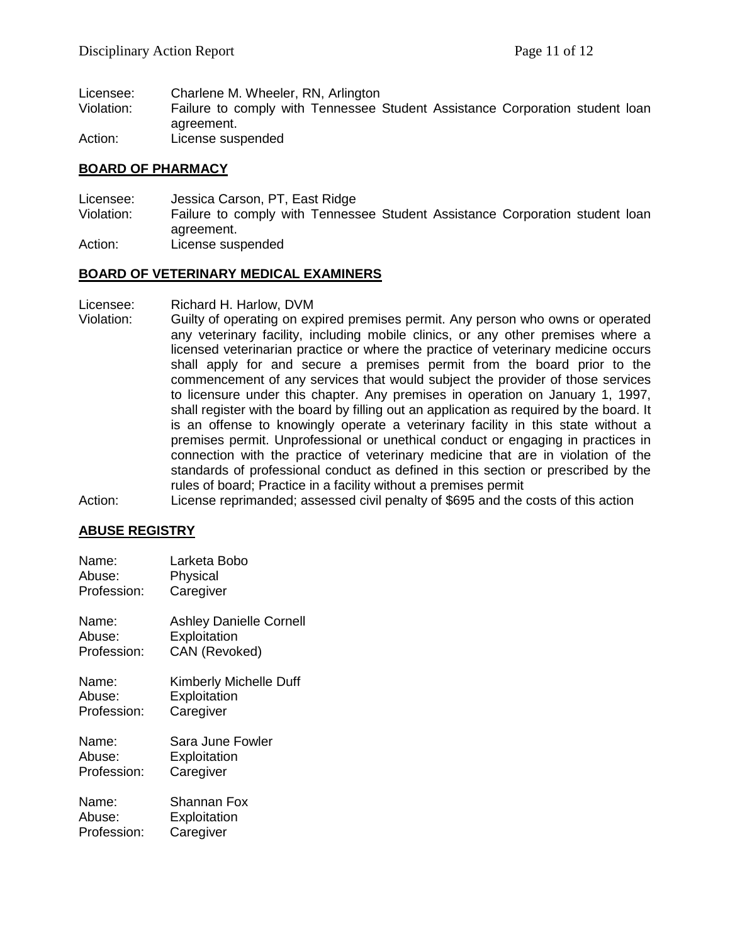| Licensee:  | Charlene M. Wheeler, RN, Arlington                                           |
|------------|------------------------------------------------------------------------------|
| Violation: | Failure to comply with Tennessee Student Assistance Corporation student loan |
|            | agreement.                                                                   |
| Action:    | License suspended                                                            |

#### **BOARD OF PHARMACY**

Licensee: Jessica Carson, PT, East Ridge<br>Violation: Failure to comply with Tenness Failure to comply with Tennessee Student Assistance Corporation student loan agreement. Action: License suspended

#### **BOARD OF VETERINARY MEDICAL EXAMINERS**

Licensee: Richard H. Harlow, DVM

- Violation: Guilty of operating on expired premises permit. Any person who owns or operated any veterinary facility, including mobile clinics, or any other premises where a licensed veterinarian practice or where the practice of veterinary medicine occurs shall apply for and secure a premises permit from the board prior to the commencement of any services that would subject the provider of those services to licensure under this chapter. Any premises in operation on January 1, 1997, shall register with the board by filling out an application as required by the board. It is an offense to knowingly operate a veterinary facility in this state without a premises permit. Unprofessional or unethical conduct or engaging in practices in connection with the practice of veterinary medicine that are in violation of the standards of professional conduct as defined in this section or prescribed by the rules of board; Practice in a facility without a premises permit
- Action: License reprimanded; assessed civil penalty of \$695 and the costs of this action

# **ABUSE REGISTRY**

| Name:       | Larketa Bobo                   |
|-------------|--------------------------------|
| Abuse:      | Physical                       |
| Profession: | Caregiver                      |
| Name:       | <b>Ashley Danielle Cornell</b> |
| Abuse:      | Exploitation                   |
| Profession: | CAN (Revoked)                  |
| Name:       | <b>Kimberly Michelle Duff</b>  |
| Abuse:      | Exploitation                   |
| Profession: | Caregiver                      |
| Name:       | Sara June Fowler               |
| Abuse:      | Exploitation                   |
| Profession: | Caregiver                      |
| Name:       | Shannan Fox                    |
| Abuse:      | Exploitation                   |
| Profession: | Caregiver                      |